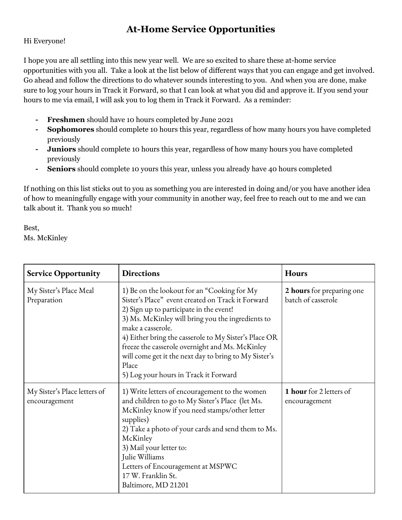## **At-Home Service Opportunities**

## Hi Everyone!

I hope you are all settling into this new year well. We are so excited to share these at-home service opportunities with you all. Take a look at the list below of different ways that you can engage and get involved. Go ahead and follow the directions to do whatever sounds interesting to you. And when you are done, make sure to log your hours in Track it Forward, so that I can look at what you did and approve it. If you send your hours to me via email, I will ask you to log them in Track it Forward. As a reminder:

- **- Freshmen** should have 10 hours completed by June 2021
- **- Sophomores** should complete 10 hours this year, regardless of how many hours you have completed previously
- **- Juniors** should complete 10 hours this year, regardless of how many hours you have completed previously
- **- Seniors** should complete 10 yours this year, unless you already have 40 hours completed

If nothing on this list sticks out to you as something you are interested in doing and/or you have another idea of how to meaningfully engage with your community in another way, feel free to reach out to me and we can talk about it. Thank you so much!

Best, Ms. McKinley

| <b>Service Opportunity</b>                    | <b>Directions</b>                                                                                                                                                                                                                                                                                                                                                                                                                            | <b>Hours</b>                                    |
|-----------------------------------------------|----------------------------------------------------------------------------------------------------------------------------------------------------------------------------------------------------------------------------------------------------------------------------------------------------------------------------------------------------------------------------------------------------------------------------------------------|-------------------------------------------------|
| My Sister's Place Meal<br>Preparation         | 1) Be on the lookout for an "Cooking for My<br>Sister's Place" event created on Track it Forward<br>2) Sign up to participate in the event!<br>3) Ms. McKinley will bring you the ingredients to<br>make a casserole.<br>4) Either bring the casserole to My Sister's Place OR<br>freeze the casserole overnight and Ms. McKinley<br>will come get it the next day to bring to My Sister's<br>Place<br>5) Log your hours in Track it Forward | 2 hours for preparing one<br>batch of casserole |
| My Sister's Place letters of<br>encouragement | 1) Write letters of encouragement to the women<br>and children to go to My Sister's Place (let Ms.<br>McKinley know if you need stamps/other letter<br>supplies)<br>2) Take a photo of your cards and send them to Ms.<br>McKinley<br>3) Mail your letter to:<br>Julie Williams<br>Letters of Encouragement at MSPWC<br>17 W. Franklin St.<br>Baltimore, MD 21201                                                                            | 1 hour for 2 letters of<br>encouragement        |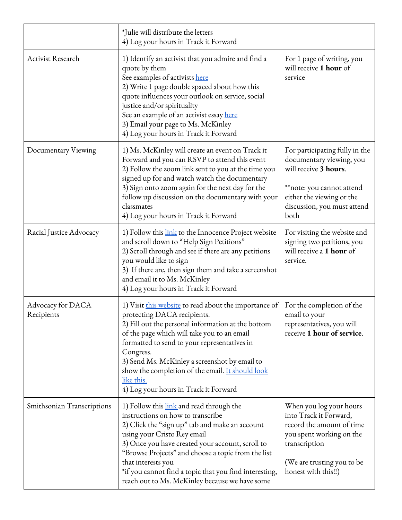|                                 | *Julie will distribute the letters<br>4) Log your hours in Track it Forward                                                                                                                                                                                                                                                                                                                                                                                                                                                        |                                                                                                                                                                                      |
|---------------------------------|------------------------------------------------------------------------------------------------------------------------------------------------------------------------------------------------------------------------------------------------------------------------------------------------------------------------------------------------------------------------------------------------------------------------------------------------------------------------------------------------------------------------------------|--------------------------------------------------------------------------------------------------------------------------------------------------------------------------------------|
| <b>Activist Research</b>        | 1) Identify an activist that you admire and find a<br>quote by them<br>See examples of activists here<br>2) Write 1 page double spaced about how this<br>quote influences your outlook on service, social<br>justice and/or spirituality<br>See an example of an activist essay here<br>3) Email your page to Ms. McKinley<br>4) Log your hours in Track it Forward                                                                                                                                                                | For 1 page of writing, you<br>will receive 1 hour of<br>service                                                                                                                      |
| Documentary Viewing             | 1) Ms. McKinley will create an event on Track it<br>Forward and you can RSVP to attend this event<br>2) Follow the zoom link sent to you at the time you<br>signed up for and watch watch the documentary<br>3) Sign onto zoom again for the next day for the<br>follow up discussion on the documentary with your<br>classmates<br>4) Log your hours in Track it Forward                                                                                                                                                          | For participating fully in the<br>documentary viewing, you<br>will receive 3 hours.<br>**note: you cannot attend<br>either the viewing or the<br>discussion, you must attend<br>both |
| Racial Justice Advocacy         | 1) Follow this link to the Innocence Project website<br>For visiting the website and<br>signing two petitions, you<br>and scroll down to "Help Sign Petitions"<br>will receive a 1 hour of<br>2) Scroll through and see if there are any petitions<br>you would like to sign<br>service.<br>3) If there are, then sign them and take a screenshot<br>and email it to Ms. McKinley<br>4) Log your hours in Track it Forward                                                                                                         |                                                                                                                                                                                      |
| Advocacy for DACA<br>Recipients | 1) Visit this website to read about the importance of<br>For the completion of the<br>protecting DACA recipients.<br>email to your<br>2) Fill out the personal information at the bottom<br>representatives, you will<br>of the page which will take you to an email<br>receive 1 hour of service.<br>formatted to send to your representatives in<br>Congress.<br>3) Send Ms. McKinley a screenshot by email to<br>show the completion of the email. It should look<br><u>like this.</u><br>4) Log your hours in Track it Forward |                                                                                                                                                                                      |
| Smithsonian Transcriptions      | 1) Follow this link and read through the<br>instructions on how to transcribe<br>2) Click the "sign up" tab and make an account<br>using your Cristo Rey email<br>3) Once you have created your account, scroll to<br>"Browse Projects" and choose a topic from the list<br>that interests you<br>*if you cannot find a topic that you find interesting,<br>reach out to Ms. McKinley because we have some                                                                                                                         | When you log your hours<br>into Track it Forward,<br>record the amount of time<br>you spent working on the<br>transcription<br>(We are trusting you to be<br>honest with this!!)     |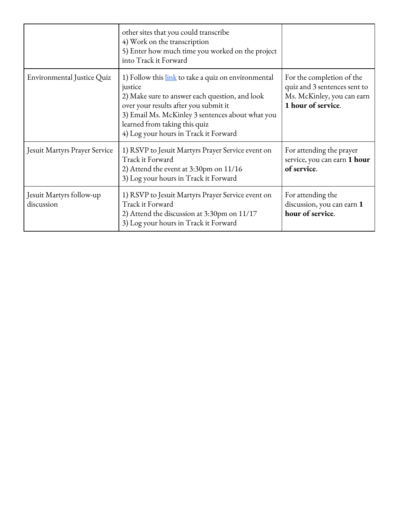|                                        | other sites that you could transcribe<br>4) Work on the transcription<br>5) Enter how much time you worked on the project<br>into Track it Forward                                                                                                                                      |                                                                                                               |
|----------------------------------------|-----------------------------------------------------------------------------------------------------------------------------------------------------------------------------------------------------------------------------------------------------------------------------------------|---------------------------------------------------------------------------------------------------------------|
| Environmental Justice Quiz             | 1) Follow this link to take a quiz on environmental<br>justice<br>2) Make sure to answer each question, and look<br>over your results after you submit it<br>3) Email Ms. McKinley 3 sentences about what you<br>learned from taking this quiz<br>4) Log your hours in Track it Forward | For the completion of the<br>quiz and 3 sentences sent to<br>Ms. McKinley, you can earn<br>1 hour of service. |
| Jesuit Martyrs Prayer Service          | 1) RSVP to Jesuit Martyrs Prayer Service event on<br>Track it Forward<br>2) Attend the event at 3:30pm on 11/16<br>3) Log your hours in Track it Forward                                                                                                                                | For attending the prayer<br>service, you can earn 1 hour<br>of service.                                       |
| Jesuit Martyrs follow-up<br>discussion | 1) RSVP to Jesuit Martyrs Prayer Service event on<br>Track it Forward<br>2) Attend the discussion at 3:30pm on 11/17<br>3) Log your hours in Track it Forward                                                                                                                           | For attending the<br>discussion, you can earn 1<br>hour of service.                                           |